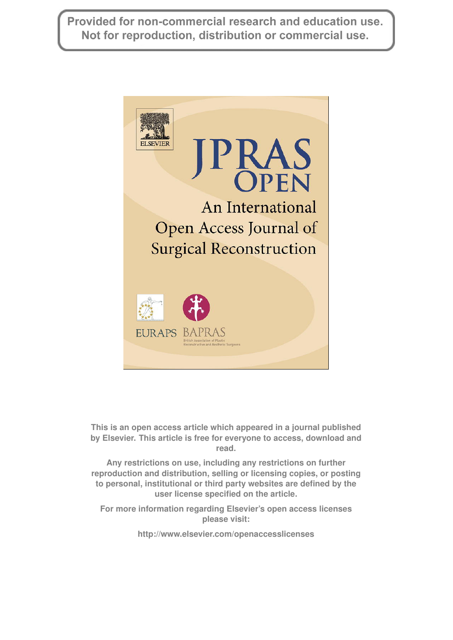Provided for non-commercial research and education use. Not for reproduction, distribution or commercial use.



**This is an open access article which appeared in a journal published by Elsevier. This article is free for everyone to access, download and read.**

**Any restrictions on use, including any restrictions on further reproduction and distribution, selling or licensing copies, or posting to personal, institutional or third party websites are defined by the user license specified on the article.**

**For more information regarding Elsevier's open access licenses please visit:**

**<http://www.elsevier.com/openaccesslicenses>**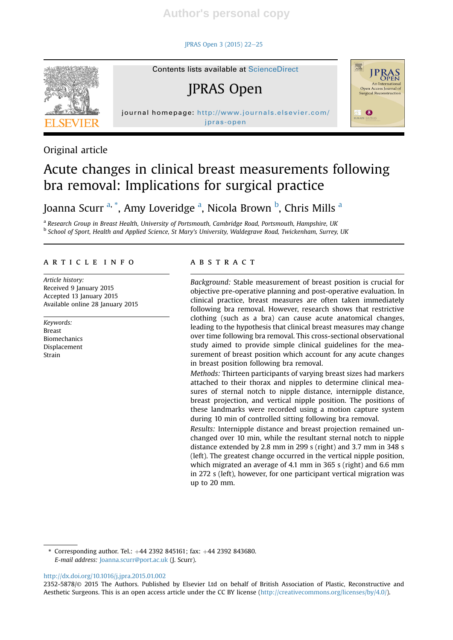JPRAS Open 3 (2015) 22-25



Original article

# Contents lists available at ScienceDirect

JPRAS Open

jpras-open



# Acute changes in clinical breast measurements following bra removal: Implications for surgical practice

Joanna Scurr <sup>a, \*</sup>, Amy Loveridge <sup>a</sup>, Nicola Brown <sup>b</sup>, Chris Mills <sup>a</sup>

<sup>a</sup> Research Group in Breast Health, University of Portsmouth, Cambridge Road, Portsmouth, Hampshire, UK <sup>b</sup> School of Sport, Health and Applied Science, St Mary's University, Waldegrave Road, Twickenham, Surrey, UK

# article info

Article history: Received 9 January 2015 Accepted 13 January 2015 Available online 28 January 2015

Keywords: Breast Biomechanics Displacement Strain

# ABSTRACT

Background: Stable measurement of breast position is crucial for objective pre-operative planning and post-operative evaluation. In clinical practice, breast measures are often taken immediately following bra removal. However, research shows that restrictive clothing (such as a bra) can cause acute anatomical changes, leading to the hypothesis that clinical breast measures may change over time following bra removal. This cross-sectional observational study aimed to provide simple clinical guidelines for the measurement of breast position which account for any acute changes in breast position following bra removal.

Methods: Thirteen participants of varying breast sizes had markers attached to their thorax and nipples to determine clinical measures of sternal notch to nipple distance, internipple distance, breast projection, and vertical nipple position. The positions of these landmarks were recorded using a motion capture system during 10 min of controlled sitting following bra removal.

Results: Internipple distance and breast projection remained unchanged over 10 min, while the resultant sternal notch to nipple distance extended by 2.8 mm in 299 s (right) and 3.7 mm in 348 s (left). The greatest change occurred in the vertical nipple position, which migrated an average of 4.1 mm in 365 s (right) and 6.6 mm in 272 s (left), however, for one participant vertical migration was up to 20 mm.

\* Corresponding author. Tel.:  $+44$  2392 845161; fax:  $+44$  2392 843680. E-mail address: Joanna.scurr@port.ac.uk (J. Scurr).

http://dx.doi.org/10.1016/j.jpra.2015.01.002

<sup>2352-5878/</sup>© 2015 The Authors. Published by Elsevier Ltd on behalf of British Association of Plastic, Reconstructive and Aesthetic Surgeons. This is an open access article under the CC BY license (http://creativecommons.org/licenses/by/4.0/).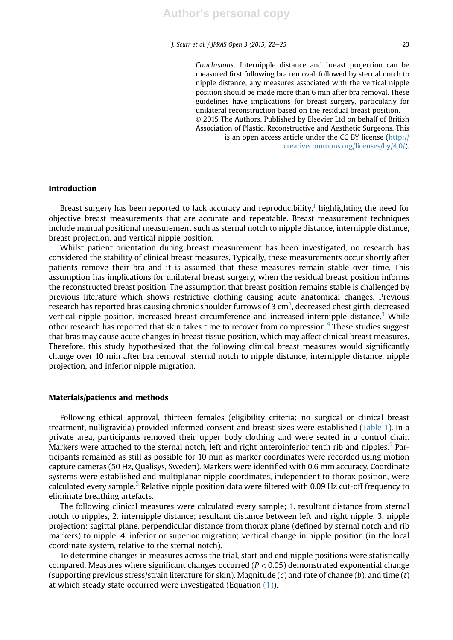Conclusions: Internipple distance and breast projection can be measured first following bra removal, followed by sternal notch to nipple distance, any measures associated with the vertical nipple position should be made more than 6 min after bra removal. These guidelines have implications for breast surgery, particularly for unilateral reconstruction based on the residual breast position. © 2015 The Authors. Published by Elsevier Ltd on behalf of British Association of Plastic, Reconstructive and Aesthetic Surgeons. This is an open access article under the CC BY license (http:// creativecommons.org/licenses/by/4.0/).

# Introduction

Breast surgery has been reported to lack accuracy and reproducibility,<sup>1</sup> highlighting the need for objective breast measurements that are accurate and repeatable. Breast measurement techniques include manual positional measurement such as sternal notch to nipple distance, internipple distance, breast projection, and vertical nipple position.

Whilst patient orientation during breast measurement has been investigated, no research has considered the stability of clinical breast measures. Typically, these measurements occur shortly after patients remove their bra and it is assumed that these measures remain stable over time. This assumption has implications for unilateral breast surgery, when the residual breast position informs the reconstructed breast position. The assumption that breast position remains stable is challenged by previous literature which shows restrictive clothing causing acute anatomical changes. Previous research has reported bras causing chronic shoulder furrows of 3 cm $^2$ , decreased chest girth, decreased vertical nipple position, increased breast circumference and increased internipple distance.<sup>3</sup> While other research has reported that skin takes time to recover from compression.<sup>4</sup> These studies suggest that bras may cause acute changes in breast tissue position, which may affect clinical breast measures. Therefore, this study hypothesized that the following clinical breast measures would significantly change over 10 min after bra removal; sternal notch to nipple distance, internipple distance, nipple projection, and inferior nipple migration.

# Materials/patients and methods

Following ethical approval, thirteen females (eligibility criteria: no surgical or clinical breast treatment, nulligravida) provided informed consent and breast sizes were established (Table 1). In a private area, participants removed their upper body clothing and were seated in a control chair. Markers were attached to the sternal notch, left and right anteroinferior tenth rib and nipples.<sup>5</sup> Participants remained as still as possible for 10 min as marker coordinates were recorded using motion capture cameras (50 Hz, Qualisys, Sweden). Markers were identified with 0.6 mm accuracy. Coordinate systems were established and multiplanar nipple coordinates, independent to thorax position, were calculated every sample.<sup>5</sup> Relative nipple position data were filtered with 0.09 Hz cut-off frequency to eliminate breathing artefacts.

The following clinical measures were calculated every sample; 1. resultant distance from sternal notch to nipples, 2. internipple distance; resultant distance between left and right nipple, 3. nipple projection; sagittal plane, perpendicular distance from thorax plane (defined by sternal notch and rib markers) to nipple, 4. inferior or superior migration; vertical change in nipple position (in the local coordinate system, relative to the sternal notch).

To determine changes in measures across the trial, start and end nipple positions were statistically compared. Measures where significant changes occurred ( $P < 0.05$ ) demonstrated exponential change (supporting previous stress/strain literature for skin). Magnitude (c) and rate of change (b), and time (t) at which steady state occurred were investigated (Equation  $(1)$ ).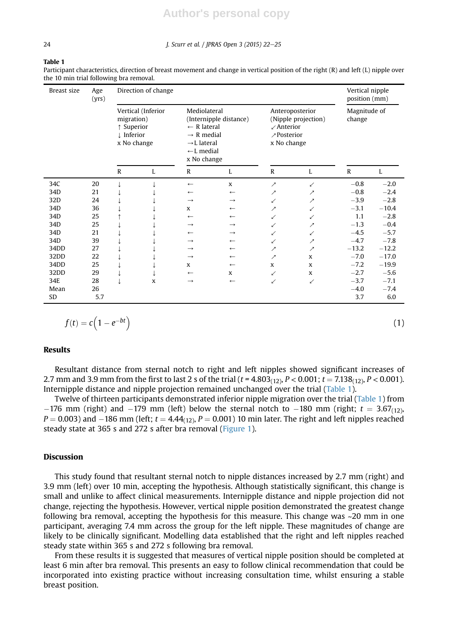# **Author's personal copy**

#### 24 J. Scurr et al. / JPRAS Open 3 (2015) 22-25

Table 1

Participant characteristics, direction of breast movement and change in vertical position of the right (R) and left (L) nipple over the 10 min trial following bra removal.

| Breast size | Age<br>(yrs) | Direction of change                                                         |   |                                                                                                                                                               |                          |                                                                                                  |                          | Vertical nipple<br>position (mm) |         |
|-------------|--------------|-----------------------------------------------------------------------------|---|---------------------------------------------------------------------------------------------------------------------------------------------------------------|--------------------------|--------------------------------------------------------------------------------------------------|--------------------------|----------------------------------|---------|
|             |              | Vertical (Inferior<br>migration)<br>↑ Superior<br>↓ Inferior<br>x No change |   | Mediolateral<br>(Internipple distance)<br>$\leftarrow$ R lateral<br>$\rightarrow$ R medial<br>$\rightarrow$ L lateral<br>$\leftarrow$ L medial<br>x No change |                          | Anteroposterior<br>(Nipple projection)<br>$\angle$ Anterior<br><i>∕</i> Posterior<br>x No change |                          | Magnitude of<br>change           |         |
|             |              | $\mathbb{R}$                                                                | L | $\mathbf R$                                                                                                                                                   | L                        | $\mathbb{R}$                                                                                     | L                        | $\mathbb{R}$                     | L       |
| 34C         | 20           |                                                                             |   | $\leftarrow$                                                                                                                                                  | X                        | ↗                                                                                                | ✓                        | $-0.8$                           | $-2.0$  |
| 34D         | 21           |                                                                             |   | $\leftarrow$                                                                                                                                                  | $\leftarrow$             | ↗                                                                                                | ↗                        | $-0.8$                           | $-2.4$  |
| 32D         | 24           |                                                                             |   | $\rightarrow$                                                                                                                                                 | $\rightarrow$            | ✓                                                                                                | ↗                        | $-3.9$                           | $-2.8$  |
| 34D         | 36           |                                                                             |   | $\mathbf{x}$                                                                                                                                                  | $\leftarrow$             | ↗                                                                                                | ✓                        | $-3.1$                           | $-10.4$ |
| 34D         | 25           |                                                                             |   | $\leftarrow$                                                                                                                                                  | $\leftarrow$             | ✓                                                                                                | ✓                        | 1.1                              | $-2.8$  |
| 34D         | 25           |                                                                             |   | $\rightarrow$                                                                                                                                                 | $\rightarrow$            | ✓                                                                                                | ↗                        | $-1.3$                           | $-0.4$  |
| 34D         | 21           |                                                                             |   | $\leftarrow$                                                                                                                                                  | $\rightarrow$            | ↙                                                                                                | ↙                        | $-4.5$                           | $-5.7$  |
| 34D         | 39           |                                                                             |   | $\rightarrow$                                                                                                                                                 | $\leftarrow$             | ↙                                                                                                | ↗                        | $-4.7$                           | $-7.8$  |
| 34DD        | 27           |                                                                             |   | $\rightarrow$                                                                                                                                                 | $\leftarrow$             | ↗                                                                                                | $\overline{\phantom{a}}$ | $-13.2$                          | $-12.2$ |
| 32DD        | 22           |                                                                             |   | $\rightarrow$                                                                                                                                                 | $\leftarrow$             | $\overline{\phantom{a}}$                                                                         | X                        | $-7.0$                           | $-17.0$ |
| 34DD        | 25           |                                                                             |   | X                                                                                                                                                             | $\leftarrow$             | X                                                                                                | X                        | $-7.2$                           | $-19.9$ |
| 32DD        | 29           |                                                                             |   | $\leftarrow$                                                                                                                                                  | X                        | ↙                                                                                                | X                        | $-2.7$                           | $-5.6$  |
| 34E         | 28           |                                                                             | X | $\rightarrow$                                                                                                                                                 | $\overline{\phantom{0}}$ | ✓                                                                                                | ↙                        | $-3.7$                           | $-7.1$  |
| Mean        | 26           |                                                                             |   |                                                                                                                                                               |                          |                                                                                                  |                          | $-4.0$                           | $-7.4$  |
| <b>SD</b>   | 5.7          |                                                                             |   |                                                                                                                                                               |                          |                                                                                                  |                          | 3.7                              | 6.0     |

$$
f(t) = c\Big(1 - e^{-bt}\Big)
$$

#### Results

Resultant distance from sternal notch to right and left nipples showed significant increases of 2.7 mm and 3.9 mm from the first to last 2 s of the trial ( $t = 4.803<sub>(12)</sub>$ ,  $P < 0.001$ ;  $t = 7.138<sub>(12)</sub>$ ,  $P < 0.001$ ). Internipple distance and nipple projection remained unchanged over the trial (Table 1).

Twelve of thirteen participants demonstrated inferior nipple migration over the trial (Table 1) from  $-176$  mm (right) and  $-179$  mm (left) below the sternal notch to  $-180$  mm (right;  $t = 3.67_{(12)}$ ,  $P = 0.003$ ) and  $-186$  mm (left;  $t = 4.44_{(12)}$ ,  $P = 0.001$ ) 10 min later. The right and left nipples reached steady state at 365 s and 272 s after bra removal (Figure 1).

# Discussion

This study found that resultant sternal notch to nipple distances increased by 2.7 mm (right) and 3.9 mm (left) over 10 min, accepting the hypothesis. Although statistically significant, this change is small and unlike to affect clinical measurements. Internipple distance and nipple projection did not change, rejecting the hypothesis. However, vertical nipple position demonstrated the greatest change following bra removal, accepting the hypothesis for this measure. This change was ~20 mm in one participant, averaging 7.4 mm across the group for the left nipple. These magnitudes of change are likely to be clinically significant. Modelling data established that the right and left nipples reached steady state within 365 s and 272 s following bra removal.

From these results it is suggested that measures of vertical nipple position should be completed at least 6 min after bra removal. This presents an easy to follow clinical recommendation that could be incorporated into existing practice without increasing consultation time, whilst ensuring a stable breast position.

(1)